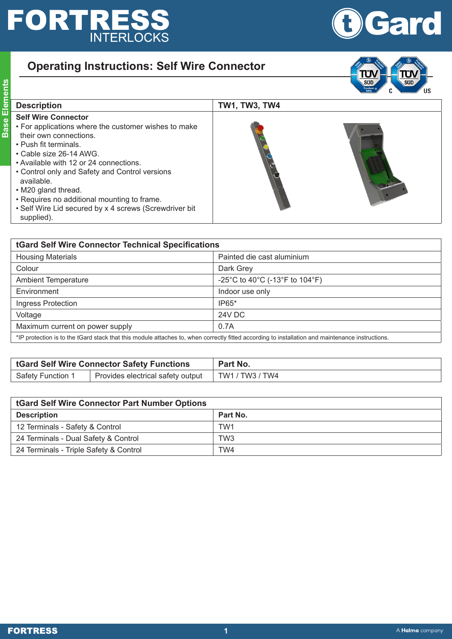## **FORTRESS**

**Base Elements**

**Base Elements** 

## **OGard**

## **Operating Instructions: Self Wire Connector**



| <b>Description</b>                                                                                                                                                                                                                                                                                                                                                                                                       | <b>TW1, TW3, TW4</b> |
|--------------------------------------------------------------------------------------------------------------------------------------------------------------------------------------------------------------------------------------------------------------------------------------------------------------------------------------------------------------------------------------------------------------------------|----------------------|
| <b>Self Wire Connector</b><br>• For applications where the customer wishes to make<br>their own connections.<br>• Push fit terminals.<br>• Cable size 26-14 AWG.<br>• Available with 12 or 24 connections.<br>• Control only and Safety and Control versions<br>available.<br>• M20 gland thread.<br>• Requires no additional mounting to frame.<br>• Self Wire Lid secured by x 4 screws (Screwdriver bit<br>supplied). |                      |

| tGard Self Wire Connector Technical Specifications                                                                                               |                                |  |  |
|--------------------------------------------------------------------------------------------------------------------------------------------------|--------------------------------|--|--|
| <b>Housing Materials</b>                                                                                                                         | Painted die cast aluminium     |  |  |
| Colour                                                                                                                                           | Dark Grey                      |  |  |
| <b>Ambient Temperature</b>                                                                                                                       | -25°C to 40°C (-13°F to 104°F) |  |  |
| Environment                                                                                                                                      | Indoor use only                |  |  |
| Ingress Protection                                                                                                                               | $IP65*$                        |  |  |
| Voltage                                                                                                                                          | <b>24V DC</b>                  |  |  |
| Maximum current on power supply                                                                                                                  | 0.7A                           |  |  |
| *IP protection is to the tGard stack that this module attaches to, when correctly fitted according to installation and maintenance instructions. |                                |  |  |

| <b>tGard Self Wire Connector Safety Functions</b> |                                   | Part No.                  |
|---------------------------------------------------|-----------------------------------|---------------------------|
| Safety Function 1                                 | Provides electrical safety output | $^+$ TW1 / TW3 / TW4 $^+$ |

| <b>tGard Self Wire Connector Part Number Options</b> |                 |  |
|------------------------------------------------------|-----------------|--|
| <b>Description</b>                                   | Part No.        |  |
| 12 Terminals - Safety & Control                      | TW <sub>1</sub> |  |
| 24 Terminals - Dual Safety & Control                 | TW <sub>3</sub> |  |
| 24 Terminals - Triple Safety & Control               | TW4             |  |

**FORTRESS**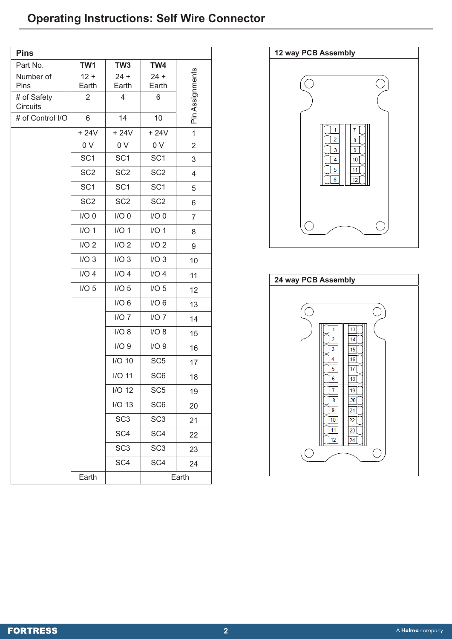## **Operating Instructions: Self Wire Connector**

| <b>Pins</b>             |                 |                  |                  |                 |
|-------------------------|-----------------|------------------|------------------|-----------------|
| Part No.                | TW1             | TW <sub>3</sub>  | TW4              |                 |
| Number of<br>Pins       | $12 +$<br>Earth | $24 +$<br>Earth  | $24 +$<br>Earth  | Pin Assignments |
| # of Safety<br>Circuits | $\overline{2}$  | $\overline{4}$   | 6                |                 |
| # of Control I/O        | 6               | 14               | 10               |                 |
|                         | $+24V$          | $+24V$           | $+24V$           | $\mathbf{1}$    |
|                         | 0 V             | 0 V              | 0 V              | 2               |
|                         | SC <sub>1</sub> | SC <sub>1</sub>  | SC <sub>1</sub>  | 3               |
|                         | SC <sub>2</sub> | SC <sub>2</sub>  | SC <sub>2</sub>  | $\overline{4}$  |
|                         | SC <sub>1</sub> | SC <sub>1</sub>  | SC <sub>1</sub>  | 5               |
|                         | SC <sub>2</sub> | SC <sub>2</sub>  | SC <sub>2</sub>  | 6               |
|                         | $I/O$ 0         | $I/O$ 0          | $I/O$ 0          | $\overline{7}$  |
|                         | $I/O$ 1         | $I/O$ 1          | I/O <sub>1</sub> | 8               |
|                         | $I/O$ 2         | I/O <sub>2</sub> | I/O <sub>2</sub> | 9               |
|                         | I/O3            | I/O3             | I/O3             | 10              |
|                         | $I/O$ 4         | $I/O$ 4          | $I/O$ 4          | 11              |
|                         | $I/O$ 5         | I/O <sub>5</sub> | I/O <sub>5</sub> | 12              |
|                         |                 | I/O <sub>6</sub> | I/O <sub>6</sub> | 13              |
|                         |                 | $I/O$ 7          | $I/O$ 7          | 14              |
|                         |                 | I/O 8            | I/O 8            | 15              |
|                         |                 | I/O9             | I/O9             | 16              |
|                         |                 | $I/O$ 10         | SC <sub>5</sub>  | 17              |
|                         |                 | $I/O$ 11         | SC <sub>6</sub>  | 18              |
|                         |                 | $I/O$ 12         | SC <sub>5</sub>  | 19              |
|                         |                 | $I/O$ 13         | SC <sub>6</sub>  | 20              |
|                         |                 | SC <sub>3</sub>  | SC <sub>3</sub>  | 21              |
|                         |                 | SC <sub>4</sub>  | SC <sub>4</sub>  | 22              |
|                         |                 | SC <sub>3</sub>  | SC <sub>3</sub>  | 23              |
|                         |                 | SC <sub>4</sub>  | SC <sub>4</sub>  | 24              |
|                         | Earth           |                  | Earth            |                 |